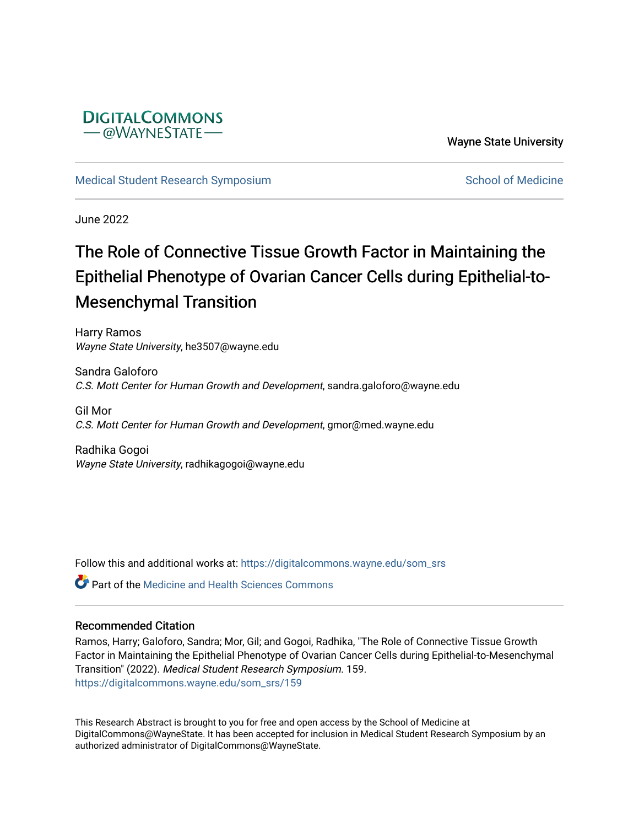

Wayne State University

[Medical Student Research Symposium](https://digitalcommons.wayne.edu/som_srs) [School of Medicine](https://digitalcommons.wayne.edu/med) School of Medicine

June 2022

## The Role of Connective Tissue Growth Factor in Maintaining the Epithelial Phenotype of Ovarian Cancer Cells during Epithelial-to-Mesenchymal Transition

Harry Ramos Wayne State University, he3507@wayne.edu

Sandra Galoforo C.S. Mott Center for Human Growth and Development, sandra.galoforo@wayne.edu

Gil Mor C.S. Mott Center for Human Growth and Development, gmor@med.wayne.edu

Radhika Gogoi Wayne State University, radhikagogoi@wayne.edu

Follow this and additional works at: [https://digitalcommons.wayne.edu/som\\_srs](https://digitalcommons.wayne.edu/som_srs?utm_source=digitalcommons.wayne.edu%2Fsom_srs%2F159&utm_medium=PDF&utm_campaign=PDFCoverPages)

**C** Part of the Medicine and Health Sciences Commons

## Recommended Citation

Ramos, Harry; Galoforo, Sandra; Mor, Gil; and Gogoi, Radhika, "The Role of Connective Tissue Growth Factor in Maintaining the Epithelial Phenotype of Ovarian Cancer Cells during Epithelial-to-Mesenchymal Transition" (2022). Medical Student Research Symposium. 159. [https://digitalcommons.wayne.edu/som\\_srs/159](https://digitalcommons.wayne.edu/som_srs/159?utm_source=digitalcommons.wayne.edu%2Fsom_srs%2F159&utm_medium=PDF&utm_campaign=PDFCoverPages) 

This Research Abstract is brought to you for free and open access by the School of Medicine at DigitalCommons@WayneState. It has been accepted for inclusion in Medical Student Research Symposium by an authorized administrator of DigitalCommons@WayneState.